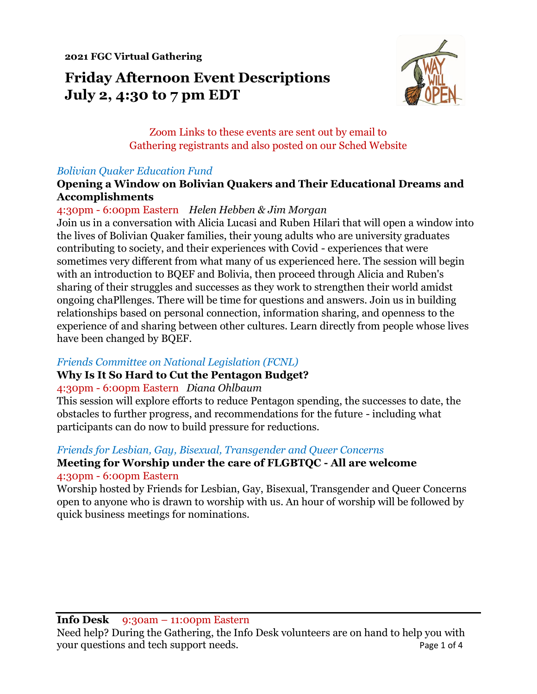**2021 FGC Virtual Gathering**

# **Friday Afternoon Event Descriptions July 2, 4:30 to 7 pm EDT**



Zoom Links to these events are sent out by email to Gathering registrants and also posted on our Sched Website

#### *Bolivian Quaker Education Fund*

#### **Opening a Window on Bolivian Quakers and Their Educational Dreams and Accomplishments**

#### 4:30pm - 6:00pm Eastern *Helen Hebben & Jim Morgan*

Join us in a conversation with Alicia Lucasi and Ruben Hilari that will open a window into the lives of Bolivian Quaker families, their young adults who are university graduates contributing to society, and their experiences with Covid - experiences that were sometimes very different from what many of us experienced here. The session will begin with an introduction to BQEF and Bolivia, then proceed through Alicia and Ruben's sharing of their struggles and successes as they work to strengthen their world amidst ongoing chaPllenges. There will be time for questions and answers. Join us in building relationships based on personal connection, information sharing, and openness to the experience of and sharing between other cultures. Learn directly from people whose lives have been changed by BQEF.

#### *Friends Committee on National Legislation (FCNL)*

## **Why Is It So Hard to Cut the Pentagon Budget?**

#### 4:30pm - 6:00pm Eastern *Diana Ohlbaum*

This session will explore efforts to reduce Pentagon spending, the successes to date, the obstacles to further progress, and recommendations for the future - including what participants can do now to build pressure for reductions.

#### *Friends for Lesbian, Gay, Bisexual, Transgender and Queer Concerns*

## **Meeting for Worship under the care of FLGBTQC - All are welcome** 4:30pm - 6:00pm Eastern

Worship hosted by Friends for Lesbian, Gay, Bisexual, Transgender and Queer Concerns open to anyone who is drawn to worship with us. An hour of worship will be followed by quick business meetings for nominations.

#### **Info Desk** 9:30am – 11:00pm Eastern

Need help? During the Gathering, the Info Desk volunteers are on hand to help you with your questions and tech support needs. Page 1 of 4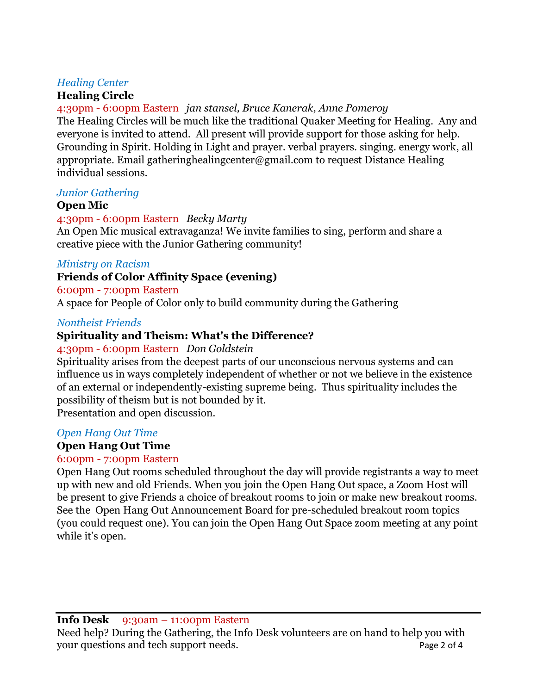#### *Healing Center*

## **Healing Circle**

4:30pm - 6:00pm Eastern *jan stansel, Bruce Kanerak, Anne Pomeroy* The Healing Circles will be much like the traditional Quaker Meeting for Healing. Any and everyone is invited to attend. All present will provide support for those asking for help. Grounding in Spirit. Holding in Light and prayer. verbal prayers. singing. energy work, all appropriate. Email gatheringhealingcenter@gmail.com to request Distance Healing individual sessions.

#### *Junior Gathering*

#### **Open Mic**

#### 4:30pm - 6:00pm Eastern *Becky Marty*

An Open Mic musical extravaganza! We invite families to sing, perform and share a creative piece with the Junior Gathering community!

#### *Ministry on Racism*

## **Friends of Color Affinity Space (evening)**

#### 6:00pm - 7:00pm Eastern

A space for People of Color only to build community during the Gathering

#### *Nontheist Friends*

# **Spirituality and Theism: What's the Difference?**

#### 4:30pm - 6:00pm Eastern *Don Goldstein*

Spirituality arises from the deepest parts of our unconscious nervous systems and can influence us in ways completely independent of whether or not we believe in the existence of an external or independently-existing supreme being. Thus spirituality includes the possibility of theism but is not bounded by it.

Presentation and open discussion.

#### *Open Hang Out Time*

# **Open Hang Out Time**

## 6:00pm - 7:00pm Eastern

Open Hang Out rooms scheduled throughout the day will provide registrants a way to meet up with new and old Friends. When you join the Open Hang Out space, a Zoom Host will be present to give Friends a choice of breakout rooms to join or make new breakout rooms. See the Open Hang Out Announcement Board for pre-scheduled breakout room topics (you could request one). You can join the Open Hang Out Space zoom meeting at any point while it's open.

**Info Desk** 9:30am – 11:00pm Eastern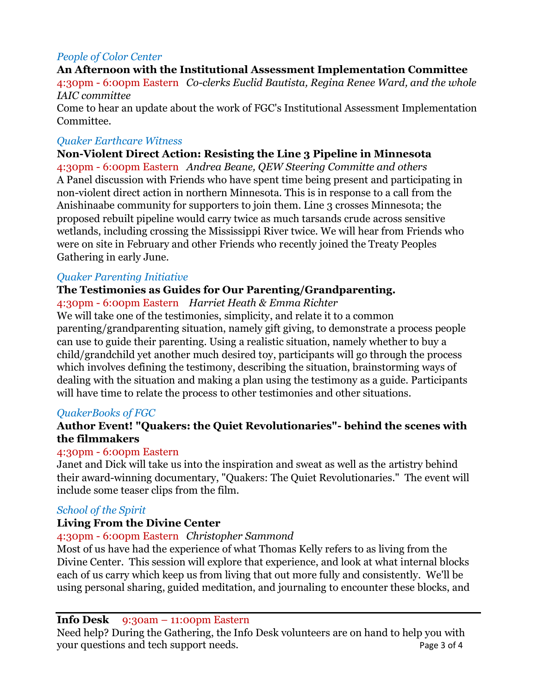#### *People of Color Center*

# **An Afternoon with the Institutional Assessment Implementation Committee** 4:30pm - 6:00pm Eastern *Co-clerks Euclid Bautista, Regina Renee Ward, and the whole IAIC committee*

Come to hear an update about the work of FGC's Institutional Assessment Implementation Committee.

#### *Quaker Earthcare Witness*

#### **Non-Violent Direct Action: Resisting the Line 3 Pipeline in Minnesota**

4:30pm - 6:00pm Eastern *Andrea Beane, QEW Steering Committe and others* A Panel discussion with Friends who have spent time being present and participating in non-violent direct action in northern Minnesota. This is in response to a call from the Anishinaabe community for supporters to join them. Line 3 crosses Minnesota; the proposed rebuilt pipeline would carry twice as much tarsands crude across sensitive wetlands, including crossing the Mississippi River twice. We will hear from Friends who were on site in February and other Friends who recently joined the Treaty Peoples Gathering in early June.

#### *Quaker Parenting Initiative*

#### **The Testimonies as Guides for Our Parenting/Grandparenting.**

4:30pm - 6:00pm Eastern *Harriet Heath & Emma Richter*

We will take one of the testimonies, simplicity, and relate it to a common parenting/grandparenting situation, namely gift giving, to demonstrate a process people can use to guide their parenting. Using a realistic situation, namely whether to buy a child/grandchild yet another much desired toy, participants will go through the process which involves defining the testimony, describing the situation, brainstorming ways of dealing with the situation and making a plan using the testimony as a guide. Participants will have time to relate the process to other testimonies and other situations.

#### *QuakerBooks of FGC*

#### **Author Event! "Quakers: the Quiet Revolutionaries"- behind the scenes with the filmmakers**

#### 4:30pm - 6:00pm Eastern

Janet and Dick will take us into the inspiration and sweat as well as the artistry behind their award-winning documentary, "Quakers: The Quiet Revolutionaries." The event will include some teaser clips from the film.

#### *School of the Spirit*

## **Living From the Divine Center**

#### 4:30pm - 6:00pm Eastern *Christopher Sammond*

Most of us have had the experience of what Thomas Kelly refers to as living from the Divine Center. This session will explore that experience, and look at what internal blocks each of us carry which keep us from living that out more fully and consistently. We'll be using personal sharing, guided meditation, and journaling to encounter these blocks, and

#### **Info Desk** 9:30am – 11:00pm Eastern

Need help? During the Gathering, the Info Desk volunteers are on hand to help you with your questions and tech support needs. Page 3 of 4